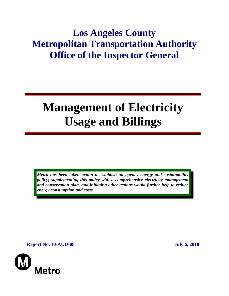## **Los Angeles County Metropolitan Transportation Authority Office of the Inspector General**

# **Management of Electricity Usage and Billings**

*Metro has been taken action to establish an agency energy and sustainability policy; supplementing this policy with a comprehensive electricity management and conservation plan, and initiating other actions would further help to reduce energy consumption and costs.* 

**Report No. 10-AUD-08** July 6, 2010

Metro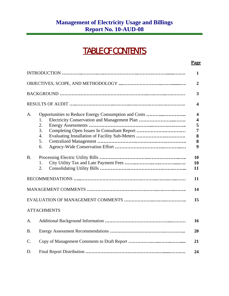## TABLE OF CONTENTS

**Page** 

|           |                                                                                                                                                  | 1                                                                                        |
|-----------|--------------------------------------------------------------------------------------------------------------------------------------------------|------------------------------------------------------------------------------------------|
|           |                                                                                                                                                  | $\overline{2}$                                                                           |
|           |                                                                                                                                                  | 3                                                                                        |
|           |                                                                                                                                                  | $\boldsymbol{4}$                                                                         |
| А.        | Electricity Conservation and Management Plan<br>1.<br>2.<br>3.<br>Evaluating Installation of Facility Sub-Meters<br>$\overline{4}$ .<br>5.<br>6. | $\overline{\mathbf{4}}$<br>$\overline{\mathbf{4}}$<br>5<br>$\overline{7}$<br>8<br>8<br>9 |
| <b>B.</b> | 1.<br>2.                                                                                                                                         | 10<br>10<br>11                                                                           |
|           |                                                                                                                                                  | 11                                                                                       |
|           |                                                                                                                                                  | 14                                                                                       |
|           |                                                                                                                                                  | 15                                                                                       |
|           | <b>ATTACHMENTS</b>                                                                                                                               |                                                                                          |

## A. Additional Background Information **……………………………………....……… 16**  B. Energy Assessment Recommendations **……………………………….………….. 20**  C. Copy of Management Comments to Draft Report **…………….…...……..……..... 21**  D. Final Report Distribution **………………………………………….…......…….…. 24**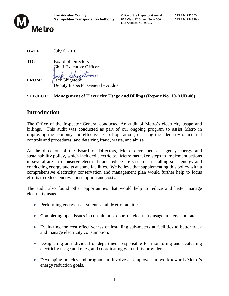

Los Angeles, CA 90017

**DATE:** July 6, 2010

- **TO:** Board of Directors Chief Executive Officer
- **FROM:** Jack Shigetomi Deputy Inspector General - Audits

#### **SUBJECT: Management of Electricity Usage and Billings (Report No. 10-AUD-08)**

## **Introduction**

The Office of the Inspector General conducted An audit of Metro's electricity usage and billings. This audit was conducted as part of our ongoing program to assist Metro in improving the economy and effectiveness of operations, ensuring the adequacy of internal controls and procedures, and deterring fraud, waste, and abuse.

At the direction of the Board of Directors, Metro developed an agency energy and sustainability policy, which included electricity. Metro has taken steps to implement actions in several areas to conserve electricity and reduce costs such as installing solar energy and conducting energy audits at some facilities. We believe that supplementing this policy with a comprehensive electricity conservation and management plan would further help to focus efforts to reduce energy consumption and costs.

The audit also found other opportunities that would help to reduce and better manage electricity usage:

- Performing energy assessments at all Metro facilities.
- Completing open issues in consultant's report on electricity usage, meters, and rates.
- Evaluating the cost effectiveness of installing sub-meters at facilities to better track and manage electricity consumption.
- Designating an individual or department responsible for monitoring and evaluating electricity usage and rates, and coordinating with utility providers.
- Developing policies and programs to involve all employees to work towards Metro's energy reduction goals.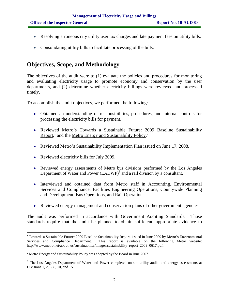- Resolving erroneous city utility user tax charges and late payment fees on utility bills.
- Consolidating utility bills to facilitate processing of the bills.

## **Objectives, Scope, and Methodology**

The objectives of the audit were to (1) evaluate the policies and procedures for monitoring and evaluating electricity usage to promote economy and conservation by the user departments, and (2) determine whether electricity billings were reviewed and processed timely.

To accomplish the audit objectives, we performed the following:

- Obtained an understanding of responsibilities, procedures, and internal controls for processing the electricity bills for payment.
- Reviewed Metro's Towards a Sustainable Future: 2009 Baseline Sustainability Report,<sup>1</sup> and the <u>Metro Energy and Sustainability Policy.</u><sup>2</sup>
- Reviewed Metro's Sustainability Implementation Plan issued on June 17, 2008.
- Reviewed electricity bills for July 2009.

- Reviewed energy assessments of Metro bus divisions performed by the Los Angeles Department of Water and Power  $(LADWP)^3$  and a rail division by a consultant.
- Interviewed and obtained data from Metro staff in Accounting, Environmental Services and Compliance, Facilities Engineering Operations, Countywide Planning and Development, Bus Operations, and Rail Operations.
- Reviewed energy management and conservation plans of other government agencies.

The audit was performed in accordance with Government Auditing Standards. Those standards require that the audit be planned to obtain sufficient, appropriate evidence to

<sup>&</sup>lt;sup>1</sup> Towards a Sustainable Future: 2009 Baseline Sustainability Report, issued in June 2009 by Metro's Environmental Services and Compliance Department. This report is available on the following Metro website: http://www.metro.net/about\_us/sustainability/images/sustainability\_report\_2009\_0617.pdf.

<sup>&</sup>lt;sup>2</sup> Metro Energy and Sustainability Policy was adopted by the Board in June 2007.

<sup>&</sup>lt;sup>3</sup> The Los Angeles Department of Water and Power completed on-site utility audits and energy assessments at Divisions 1, 2, 3, 8, 10, and 15.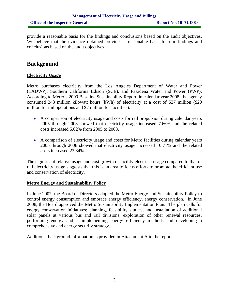provide a reasonable basis for the findings and conclusions based on the audit objectives. We believe that the evidence obtained provides a reasonable basis for our findings and conclusions based on the audit objectives.

## **Background**

#### **Electricity Usage**

Metro purchases electricity from the Los Angeles Department of Water and Power (LADWP), Southern California Edison (SCE), and Pasadena Water and Power (PWP). According to Metro's 2009 Baseline Sustainability Report, in calendar year 2008, the agency consumed 243 million kilowatt hours (kWh) of electricity at a cost of \$27 million (\$20 million for rail operations and \$7 million for facilities).

- A comparison of electricity usage and costs for rail propulsion during calendar years 2005 through 2008 showed that electricity usage increased 7.66% and the related costs increased 5.02% from 2005 to 2008.
- A comparison of electricity usage and costs for Metro facilities during calendar years 2005 through 2008 showed that electricity usage increased 10.71% and the related costs increased 23.34%.

The significant relative usage and cost growth of facility electrical usage compared to that of rail electricity usage suggests that this is an area to focus efforts to promote the efficient use and conservation of electricity.

#### **Metro Energy and Sustainability Policy**

In June 2007, the Board of Directors adopted the Metro Energy and Sustainability Policy to control energy consumption and embrace energy efficiency, energy conservation.In June 2008, the Board approved the Metro Sustainability Implementation Plan. The plan calls for energy conservation initiatives; planning, feasibility studies, and installation of additional solar panels at various bus and rail divisions; exploration of other renewal resources; performing energy audits, implementing energy efficiency methods and developing a comprehensive and energy security strategy.

Additional background information is provided in Attachment A to the report.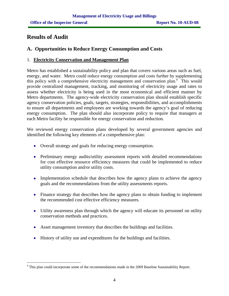## **Results of Audit**

### **A. Opportunities to Reduce Energy Consumption and Costs**

#### 1. **Electricity Conservation and Management Plan**

Metro has established a sustainability policy and plan that covers various areas such as fuel, energy, and water. Metro could reduce energy consumption and costs further by supplementing this policy with a comprehensive electricity management and conservation plan.<sup>4</sup> This would provide centralized management, tracking, and monitoring of electricity usage and rates to assess whether electricity is being used in the most economical and efficient manner by Metro departments. The agency-wide electricity conservation plan should establish specific agency conservation policies, goals, targets, strategies, responsibilities, and accomplishments to ensure all departments and employees are working towards the agency's goal of reducing energy consumption. The plan should also incorporate policy to require that managers at each Metro facility be responsible for energy conservation and reduction.

We reviewed energy conservation plans developed by several government agencies and identified the following key elements of a comprehensive plan:

- Overall strategy and goals for reducing energy consumption.
- Preliminary energy audits/utility assessment reports with detailed recommendations for cost effective resource efficiency measures that could be implemented to reduce utility consumption and/or utility costs.
- Implementation schedule that describes how the agency plans to achieve the agency goals and the recommendations from the utility assessments reports.
- Finance strategy that describes how the agency plans to obtain funding to implement the recommended cost effective efficiency measures.
- Utility awareness plan through which the agency will educate its personnel on utility conservation methods and practices.
- Asset management inventory that describes the buildings and facilities.
- History of utility use and expenditures for the buildings and facilities.

 $\overline{a}$ <sup>4</sup> This plan could incorporate some of the recommendations made in the 2009 Baseline Sustainability Report.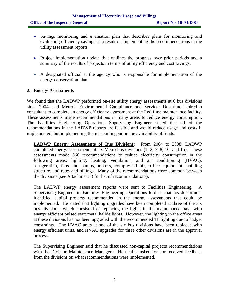- Savings monitoring and evaluation plan that describes plans for monitoring and evaluating efficiency savings as a result of implementing the recommendations in the utility assessment reports.
- Project implementation update that outlines the progress over prior periods and a summary of the results of projects in terms of utility efficiency and cost savings.
- A designated official at the agency who is responsible for implementation of the energy conservation plan.

#### **2. Energy Assessments**

We found that the LADWP performed on-site utility energy assessments at 6 bus divisions since 2004, and Metro's Environmental Compliance and Services Department hired a consultant to complete an energy efficiency assessment at the Red Line maintenance facility. These assessments made recommendations in many areas to reduce energy consumption. The Facilities Engineering Operations Supervising Engineer stated that all of the recommendations in the LADWP reports are feasible and would reduce usage and costs if implemented, but implementing them is contingent on the availability of funds:

**LADWP Energy Assessments of Bus Divisions**: From 2004 to 2008, LADWP completed energy assessments at six Metro bus divisions (1, 2, 3, 8, 10, and 15). These assessments made 366 recommendations to reduce electricity consumption in the following areas: lighting, heating, ventilation, and air conditioning (HVAC), refrigeration, fans and pumps, motors, compressed air, office equipment, building structure, and rates and billings. Many of the recommendations were common between the divisions (see Attachment B for list of recommendations).

The LADWP energy assessment reports were sent to Facilities Engineering. A Supervising Engineer in Facilities Engineering Operations told us that his department identified capital projects recommended in the energy assessments that could be implemented. He stated that lighting upgrades have been completed at three of the six bus divisions, which consisted of replacing the lights in the maintenance bays with energy efficient pulsed start metal halide lights. However, the lighting in the office areas at these divisions has not been upgraded with the recommended T8 lighting due to budget constraints. The HVAC units at one of the six bus divisions have been replaced with energy efficient units, and HVAC upgrades for three other divisions are in the approval process.

The Supervising Engineer said that he discussed non-capital projects recommendations with the Division Maintenance Managers. He neither asked for nor received feedback from the divisions on what recommendations were implemented.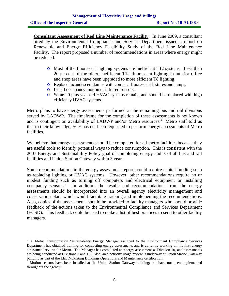$\overline{a}$ 

**Consultant Assessment of Red Line Maintenance Facility**: In June 2009, a consultant hired by the Environmental Compliance and Services Department issued a report on Renewable and Energy Efficiency Feasibility Study of the Red Line Maintenance Facility. The report proposed a number of recommendations in areas where energy might be reduced:

- o Most of the fluorescent lighting systems are inefficient T12 systems. Less than 20 percent of the older, inefficient T12 fluorescent lighting in interior office and shop areas have been upgraded to more efficient T8 lighting.
- o Replace incandescent lamps with compact fluorescent fixtures and lamps.
- o Install occupancy motion or infrared sensors.
- o Some 20 plus year old HVAC systems remain, and should be replaced with high efficiency HVAC systems.

Metro plans to have energy assessments performed at the remaining bus and rail divisions served by LADWP. The timeframe for the completion of these assessments is not known and is contingent on availability of LADWP and/or Metro resources.<sup>5</sup> Metro staff told us that to their knowledge, SCE has not been requested to perform energy assessments of Metro facilities.

We believe that energy assessments should be completed for all metro facilities because they are useful tools to identify potential ways to reduce consumption. This is consistent with the 2007 Energy and Sustainability Policy goal of completing energy audits of all bus and rail facilities and Union Station Gateway within 3 years.

Some recommendations in the energy assessment reports could require capital funding such as replacing lighting or HVAC systems. However, other recommendations require no or modest funding such as turning off computers and electrical equipment or installing occupancy sensors.<sup>6</sup> In addition, the results and recommendations from the energy assessments should be incorporated into an overall agency electricity management and conservation plan, which would facilitate tracking and implementing the recommendations. Also, copies of the assessments should be provided to facility managers who should provide feedback of the actions taken to the Environmental Compliance and Services Department (ECSD). This feedback could be used to make a list of best practices to send to other facility managers.

<sup>&</sup>lt;sup>5</sup> A Metro Transportation Sustainability Energy Manager assigned to the Environment Compliance Services Department has obtained training for conducting energy assessments and is currently working on his first energy assessment review for Metro. The Manager has completed an energy assessment at Division 10, and assessments are being conducted at Divisions 3 and 18. Also, an electricity usage review is underway at Union Station Gateway building as part of the LEED-Existing Buildings Operations and Maintenance certification. 6

<sup>&</sup>lt;sup>6</sup> Motion sensors have been installed at the Union Station Gateway building; but have not been implemented throughout the agency.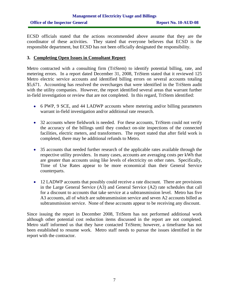ECSD officials stated that the actions recommended above assume that they are the coordinator of these activities. They stated that everyone believes that ECSD is the responsible department, but ECSD has not been officially designated the responsibility.

#### **3. Completing Open Issues in Consultant Report**

Metro contracted with a consulting firm (TriStem) to identify potential billing, rate, and metering errors. In a report dated December 31, 2008, TriStem stated that it reviewed 125 Metro electric service accounts and identified billing errors on several accounts totaling \$5,671. Accounting has resolved the overcharges that were identified in the TriStem audit with the utility companies. However, the report identified several areas that warrant further in-field investigation or review that are not completed. In this regard, TriStem identified:

- 6 PWP, 9 SCE, and 44 LADWP accounts where metering and/or billing parameters warrant in-field investigation and/or additional rate research.
- 32 accounts where fieldwork is needed. For these accounts, TriStem could not verify the accuracy of the billings until they conduct on-site inspections of the connected facilities, electric meters, and transformers. The report stated that after field work is completed, there may be additional refunds to Metro.
- 35 accounts that needed further research of the applicable rates available through the respective utility providers. In many cases, accounts are averaging costs per kWh that are greater than accounts using like levels of electricity on other rates. Specifically, Time of Use Rates appear to be more economical than their General Service counterparts.
- 12 LADWP accounts that possibly could receive a rate discount. There are provisions in the Large General Service (A3) and General Service (A2) rate schedules that call for a discount to accounts that take service at a subtransmission level. Metro has five A3 accounts, all of which are subtransmission service and seven A2 accounts billed as subtransmission service. None of these accounts appear to be receiving any discount.

Since issuing the report in December 2008, TriStem has not performed additional work although other potential cost reduction items discussed in the report are not completed. Metro staff informed us that they have contacted TriStem; however, a timeframe has not been established to resume work. Metro staff needs to pursue the issues identified in the report with the contractor.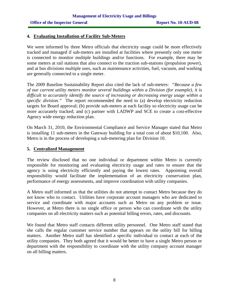#### **4. Evaluating Installation of Facility Sub-Meters**

We were informed by three Metro officials that electricity usage could be more effectively tracked and managed if sub-meters are installed at facilities where presently only one meter is connected to monitor multiple buildings and/or functions. For example, there may be some meters at rail stations that also connect to the traction sub-stations (propulsion power), and at bus divisions multiple uses, such as maintenance activities, fuel, vacuum, and washing are generally connected to a single meter.

The 2009 Baseline Sustainability Report also cited the lack of sub-meters: *"Because a few of our current utility meters monitor several buildings within a Division (for example), it is difficult to accurately identify the source of increasing or decreasing energy usage within a specific division."* The report recommended the need to (a) develop electricity reduction targets for Board approval; (b) provide sub-meters at each facility so electricity usage can be more accurately tracked; and (c) partner with LADWP and SCE to create a cost-effective Agency wide energy reduction plan.

On March 31, 2010, the Environmental Compliance and Service Manager stated that Metro is installing 11 sub-meters in the Gateway building for a total cost of about \$10,100. Also, Metro is in the process of developing a sub-metering plan for Division 10.

#### **5. Centralized Management**

The review disclosed that no one individual or department within Metro is currently responsible for monitoring and evaluating electricity usage and rates to ensure that the agency is using electricity efficiently and paying the lowest rates. Appointing overall responsibility would facilitate the implementation of an electricity conservation plan, performance of energy assessments, and improve coordination with utility companies.

A Metro staff informed us that the utilities do not attempt to contact Metro because they do not know who to contact. Utilities have corporate account managers who are dedicated to service and coordinate with major accounts such as Metro on any problem or issue. However, at Metro there is no single office or person who can coordinate with the utility companies on all electricity matters such as potential billing errors, rates, and discounts.

We found that Metro staff contacts different utility personnel. One Metro staff stated that she calls the regular customer service number that appears on the utility bill for billing matters. Another Metro staff has identified a specific individual to contact at each of the utility companies. They both agreed that it would be better to have a single Metro person or department with the responsibility to coordinate with the utility company account manager on all billing matters.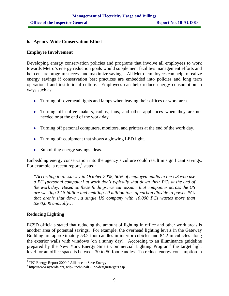#### **6. Agency-Wide Conservation Effort**

#### **Employee Involvement**

Developing energy conservation policies and programs that involve all employees to work towards Metro's energy reduction goals would supplement facilities management efforts and help ensure program success and maximize savings. All Metro employees can help to realize energy savings if conservation best practices are embedded into policies and long term operational and institutional culture. Employees can help reduce energy consumption in ways such as:

- Turning off overhead lights and lamps when leaving their offices or work area.
- Turning off coffee makers, radios, fans, and other appliances when they are not needed or at the end of the work day.
- Turning off personal computers, monitors, and printers at the end of the work day.
- Turning off equipment that shows a glowing LED light.
- Submitting energy savings ideas.

Embedding energy conservation into the agency's culture could result in significant savings. For example, a recent report, $\frac{7}{7}$  stated:

*"According to a…survey in October 2008, 50% of employed adults in the US who use a PC [personal computer] at work don't typically shut down their PCs at the end of the work day. Based on these findings, we can assume that companies across the US are wasting \$2.8 billion and emitting 20 million tons of carbon dioxide to power PCs that aren't shut down…a single US company with 10,000 PCs wastes more than \$260,000 annually…"*

#### **Reducing Lighting**

ECSD officials stated that reducing the amount of lighting in office and other work areas is another area of potential savings. For example, the overhead lighting levels in the Gateway Building are approximately 53.2 foot candles in interior cubicles and 84.2 in cubicles along the exterior walls with windows (on a sunny day). According to an illuminance guideline prepared by the New York Energy Smart Commercial Lighting Program<sup>8</sup> the target light level for an office space is between 30 to 50 foot candles. To reduce energy consumption in

<sup>&</sup>lt;sup>7</sup> "PC Energy Report 2009," Alliance to Save Energy.

<sup>8</sup> http://www.nyserda.org/sclp2/technicalGuide/design/targets.asp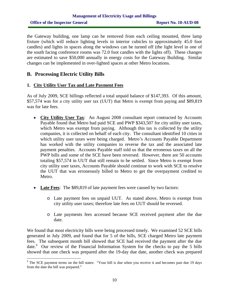## **Management of Electricity Usage and Billings Office of the Inspector General Report No. 10-AUD-08**

the Gateway building, one lamp can be removed from each ceiling mounted, three lamp fixture (which will reduce lighting levels in interior cubicles to approximately 45.0 foot candles) and lights in spaces along the windows can be turned off (the light level in one of the south facing conference rooms was 72.0 foot candles with the lights off). These changes are estimated to save \$50,000 annually in energy costs for the Gateway Building. Similar changes can be implemented in over-lighted spaces at other Metro locations.

#### **B. Processing Electric Utility Bills**

#### **1. City Utility User Tax and Late Payment Fees**

As of July 2009, SCE billings reflected a total unpaid balance of \$147,393. Of this amount, \$57,574 was for a city utility user tax (UUT) that Metro is exempt from paying and \$89,819 was for late fees.

- **City Utility User Tax**: An August 2008 consultant report contracted by Accounts Payable found that Metro had paid SCE and PWP \$343,507 for city utility user taxes, which Metro was exempt from paying. Although this tax is collected by the utility companies, it is collected on behalf of each city. The consultant identified 10 cities in which utility user taxes were being charged. Metro's Accounts Payable Department has worked with the utility companies to reverse the tax and the associated late payment penalties. Accounts Payable staff told us that the erroneous taxes on all the PWP bills and some of the SCE have been reversed. However, there are 50 accounts totaling \$57,574 in UUT that still remain to be settled. Since Metro is exempt from city utility user taxes, Accounts Payable should continue to work with SCE to resolve the UUT that was erroneously billed to Metro to get the overpayment credited to Metro.
- **Late Fees**: The \$89,819 of late payment fees were caused by two factors:
	- o Late payment fees on unpaid UUT. As stated above, Metro is exempt from city utility user taxes; therefore late fees on UUT should be reversed.
	- o Late payments fees accessed because SCE received payment after the due date.

We found that most electricity bills were being processed timely. We examined 52 SCE bills generated in July 2009, and found that for 5 of the bills, SCE charged Metro late payment fees. The subsequent month bill showed that SCE had received the payment after the due date.<sup>9</sup> Our review of the Financial Information System for the checks to pay the 5 bills showed that one check was prepared after the 19-day due date, another check was prepared

The SCE payment terms on the bill states: "Your bill is due when you receive it and becomes past due 19 days from the date the bill was prepared."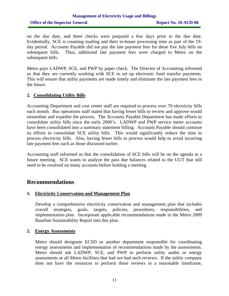## **Management of Electricity Usage and Billings Office of the Inspector General Report No. 10-AUD-08**

on the due date, and three checks were prepared a few days prior to the due date. Evidentially, SCE is counting mailing and their in-house processing time as part of the 19 day period. Accounts Payable did not pay the late payment fees for these five July bills on subsequent bills. Thus, additional late payment fees were charged to Metro on the subsequent bills.

Metro pays LADWP, SCE, and PWP by paper check. The Director of Accounting informed us that they are currently working with SCE to set up electronic fund transfer payments. This will ensure that utility payments are made timely and eliminate the late payment fees in the future.

#### **2. Consolidating Utility Bills**

Accounting Department and cost center staff are required to process over 70 electricity bills each month. Bus operations staff stated that having fewer bills to review and approve would streamline and expedite the process. The Accounts Payable Department has made efforts to consolidate utility bills since the early 2000's. LADWP and PWP service meter accounts have been consolidated into a summary statement billing. Accounts Payable should continue its efforts to consolidate SCE utility bills. This would significantly reduce the time to process electricity bills. Also, having fewer bills to process would help to avoid incurring late payment fees such as those discussed earlier.

Accounting staff informed us that the consolidation of SCE bills will be on the agenda in a future meeting. SCE wants to analyze the pass due balances related to the UUT that still need to be resolved on many accounts before holding a meeting.

## **Recommendations**

#### **1. Electricity Conservation and Management Plan**

Develop a comprehensive electricity conservation and management plan that includes overall strategies, goals, targets, policies, procedures, responsibilities, and implementation plan. Incorporate applicable recommendations made in the Metro 2009 Baseline Sustainability Report into this plan.

#### **2. Energy Assessments**

Metro should designate ECSD or another department responsible for coordinating energy assessments and implementation of recommendations made by the assessments. Metro should ask LADWP, SCE, and PWP to perform utility audits or energy assessments at all Metro facilities that had not had such reviews. If the utility company does not have the resources to perform these reviews in a reasonable timeframe,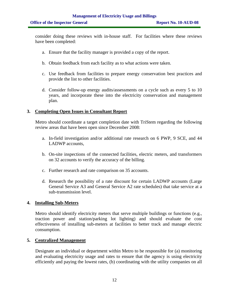consider doing these reviews with in-house staff. For facilities where these reviews have been completed:

- a. Ensure that the facility manager is provided a copy of the report.
- b. Obtain feedback from each facility as to what actions were taken.
- c. Use feedback from facilities to prepare energy conservation best practices and provide the list to other facilities.
- d. Consider follow-up energy audits/assessments on a cycle such as every 5 to 10 years, and incorporate these into the electricity conservation and management plan.

#### **3. Completing Open Issues in Consultant Report**

Metro should coordinate a target completion date with TriStem regarding the following review areas that have been open since December 2008:

- a. In-field investigation and/or additional rate research on 6 PWP, 9 SCE, and 44 LADWP accounts,
- b. On-site inspections of the connected facilities, electric meters, and transformers on 32 accounts to verify the accuracy of the billing.
- c. Further research and rate comparison on 35 accounts.
- d. Research the possibility of a rate discount for certain LADWP accounts (Large General Service A3 and General Service A2 rate schedules) that take service at a sub-transmission level.

#### **4. Installing Sub-Meters**

Metro should identify electricity meters that serve multiple buildings or functions (e.g., traction power and station/parking lot lighting) and should evaluate the cost effectiveness of installing sub-meters at facilities to better track and manage electric consumption.

#### **5. Centralized Management**

Designate an individual or department within Metro to be responsible for (a) monitoring and evaluating electricity usage and rates to ensure that the agency is using electricity efficiently and paying the lowest rates, (b) coordinating with the utility companies on all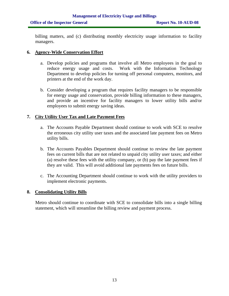billing matters, and (c) distributing monthly electricity usage information to facility managers.

#### **6. Agency-Wide Conservation Effort**

- a. Develop policies and programs that involve all Metro employees in the goal to reduce energy usage and costs. Work with the Information Technology Department to develop policies for turning off personal computers, monitors, and printers at the end of the work day.
- b. Consider developing a program that requires facility managers to be responsible for energy usage and conservation, provide billing information to these managers, and provide an incentive for facility managers to lower utility bills and/or employees to submit energy saving ideas.

#### **7. City Utility User Tax and Late Payment Fees**

- a. The Accounts Payable Department should continue to work with SCE to resolve the erroneous city utility user taxes and the associated late payment fees on Metro utility bills.
- b. The Accounts Payables Department should continue to review the late payment fees on current bills that are not related to unpaid city utility user taxes; and either (a) resolve these fees with the utility company, or (b) pay the late payment fees if they are valid. This will avoid additional late payments fees on future bills.
- c. The Accounting Department should continue to work with the utility providers to implement electronic payments.

#### **8. Consolidating Utility Bills**

Metro should continue to coordinate with SCE to consolidate bills into a single billing statement, which will streamline the billing review and payment process.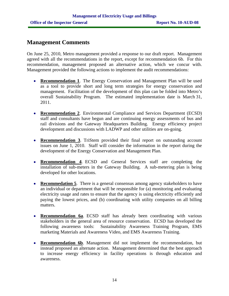## **Management Comments**

On June 25, 2010, Metro management provided a response to our draft report. Management agreed with all the recommendations in the report, except for recommendation 6b. For this recommendation, management proposed an alternative action, which we concur with. Management provided the following actions to implement the audit recommendations:

- **Recommendation 1**. The Energy Conservation and Management Plan will be used as a tool to provide short and long term strategies for energy conservation and management. Facilitation of the development of this plan can be folded into Metro's overall Sustainability Program. The estimated implementation date is March 31, 2011.
- **Recommendation 2**. Environmental Compliance and Services Department (ECSD) staff and consultants have begun and are continuing energy assessments of bus and rail divisions and the Gateway Headquarters Building. Energy efficiency project development and discussions with LADWP and other utilities are on-going.
- **Recommendation 3**. TriStem provided their final report on outstanding account issues on June 1, 2010. Staff will consider the information in the report during the development of the Energy Conservation and Management Plan.
- **Recommendation 4**. ECSD and General Services staff are completing the installation of sub-meters in the Gateway Building. A sub-metering plan is being developed for other locations.
- **Recommedation 5**. There is a general consensus among agency stakeholders to have an individual or department that will be responsible for (a) monitoring and evaluating electricity usage and rates to ensure that the agency is using electricity efficiently and paying the lowest prices, and (b) coordinating with utility companies on all billing matters.
- **Recommendation 6a**. ECSD staff has already been coordinating with various stakeholders in the general area of resource conservation. ECSD has developed the following awareness tools: Sustainability Awareness Training Program, EMS marketing Materials and Awareness Video, and EMS Awareness Training.
- **Recommendation 6b**. Management did not implement the recommendation, but instead proposed an alternate action. Management determined that the best approach to increase energy efficiency in facility operations is through education and awareness.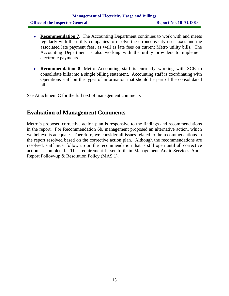- **Recommendation 7**. The Accounting Department continues to work with and meets regularly with the utility companies to resolve the erroneous city user taxes and the associated late payment fees, as well as late fees on current Metro utility bills. The Accounting Department is also working with the utility providers to implement electronic payments.
- **Recommendation 8**. Metro Accounting staff is currently working with SCE to consolidate bills into a single billing statement. Accounting staff is coordinating with Operations staff on the types of information that should be part of the consolidated bill.

See Attachment C for the full text of management comments

## **Evaluation of Management Comments**

Metro's proposed corrective action plan is responsive to the findings and recommendations in the report. For Recommendation 6b, management proposed an alternative action, which we believe is adequate. Therefore, we consider all issues related to the recommendations in the report resolved based on the corrective action plan. Although the recommendations are resolved, staff must follow up on the recommendation that is still open until all corrective action is completed. This requirement is set forth in Management Audit Services Audit Report Follow-up & Resolution Policy (MAS 1).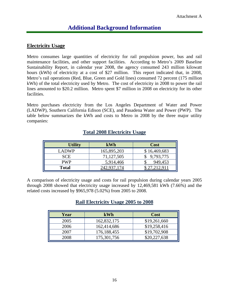### **Electricity Usage**

Metro consumes large quantities of electricity for rail propulsion power, bus and rail maintenance facilities, and other support facilities. According to Metro's 2009 Baseline Sustainability Report, in calendar year 2008, the agency consumed 243 million kilowatt hours (kWh) of electricity at a cost of \$27 million. This report indicated that, in 2008, Metro's rail operations (Red, Blue, Green and Gold lines) consumed 72 percent (175 million kWh) of the total electricity used by Metro. The cost of electricity in 2008 to power the rail lines amounted to \$20.2 million. Metro spent \$7 million in 2008 on electricity for its other facilities.

Metro purchases electricity from the Los Angeles Department of Water and Power (LADWP), Southern California Edison (SCE), and Pasadena Water and Power (PWP). The table below summarizes the kWh and costs to Metro in 2008 by the three major utility companies:

| <b>Utility</b> | kWh         | <b>Cost</b>  |
|----------------|-------------|--------------|
| LADWP.         | 165,895,203 | \$16,469,683 |
| <b>SCE</b>     | 71,127,505  | 9,793,775    |
| <b>PWP</b>     | 5,914,466   | 949,453      |
| <b>Total</b>   |             |              |

## **Total 2008 Electricity Usage**

A comparison of electricity usage and costs for rail propulsion during calendar years 2005 through 2008 showed that electricity usage increased by 12,469,581 kWh (7.66%) and the related costs increased by \$965,978 (5.02%) from 2005 to 2008.

## **Rail Electricity Usage 2005 to 2008**

| Year | kWh           | <b>Cost</b>  |
|------|---------------|--------------|
| 2005 | 162,832,175   | \$19,261,660 |
| 2006 | 162,414,686   | \$19,258,416 |
| 2007 | 176,188,455   | \$19,702,908 |
| 2008 | 175, 301, 756 | \$20,227,638 |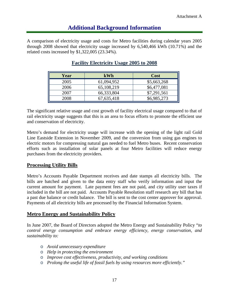A comparison of electricity usage and costs for Metro facilities during calendar years 2005 through 2008 showed that electricity usage increased by 6,540,466 kWh (10.71%) and the related costs increased by \$1,322,005 (23.34%).

| Year | <b>kWh</b> | <b>Cost</b> |
|------|------------|-------------|
| 2005 | 61,094,952 | \$5,663,268 |
| 2006 | 65,108,219 | \$6,477,081 |
| 2007 | 66,333,804 | \$7,291,561 |
| 2008 | 67,635,418 | \$6,985,273 |

## **Facility Electricity Usage 2005 to 2008**

The significant relative usage and cost growth of facility electrical usage compared to that of rail electricity usage suggests that this is an area to focus efforts to promote the efficient use and conservation of electricity.

Metro's demand for electricity usage will increase with the opening of the light rail Gold Line Eastside Extension in November 2009, and the conversion from using gas engines to electric motors for compressing natural gas needed to fuel Metro buses. Recent conservation efforts such as installation of solar panels at four Metro facilities will reduce energy purchases from the electricity providers.

#### **Processing Utility Bills**

Metro's Accounts Payable Department receives and date stamps all electricity bills. The bills are batched and given to the data entry staff who verify information and input the current amount for payment. Late payment fees are not paid, and city utility user taxes if included in the bill are not paid. Accounts Payable Resolution staff research any bill that has a past due balance or credit balance. The bill is sent to the cost center approver for approval. Payments of all electricity bills are processed by the Financial Information System.

#### **Metro Energy and Sustainability Policy**

In June 2007, the Board of Directors adopted the Metro Energy and Sustainability Policy "*to control energy consumption and embrace energy efficiency, energy conservation, and sustainability to:* 

- o *Avoid unnecessary expenditure*
- o *Help in protecting the environment*
- o *Improve cost effectiveness, productivity, and working conditions*
- o *Prolong the useful life of fossil fuels by using resources more efficiently."*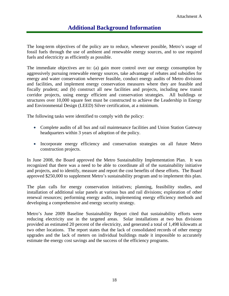The long-term objectives of the policy are to reduce, whenever possible, Metro's usage of fossil fuels through the use of ambient and renewable energy sources, and to use required fuels and electricity as efficiently as possible.

The immediate objectives are to: (a) gain more control over our energy consumption by aggressively pursuing renewable energy sources, take advantage of rebates and subsidies for energy and water conservation wherever feasible, conduct energy audits of Metro divisions and facilities, and implement energy conservation measures where they are feasible and fiscally prudent; and (b) construct all new facilities and projects, including new transit corridor projects, using energy efficient and conservation strategies. All buildings or structures over 10,000 square feet must be constructed to achieve the Leadership in Energy and Environmental Design (LEED) Silver certification, at a minimum.

The following tasks were identified to comply with the policy:

- Complete audits of all bus and rail maintenance facilities and Union Station Gateway headquarters within 3 years of adoption of the policy.
- Incorporate energy efficiency and conservation strategies on all future Metro construction projects.

In June 2008, the Board approved the Metro Sustainability Implementation Plan. It was recognized that there was a need to be able to coordinate all of the sustainability initiative and projects, and to identify, measure and report the cost benefits of these efforts. The Board approved \$250,000 to supplement Metro's sustainability program and to implement this plan.

The plan calls for energy conservation initiatives; planning, feasibility studies, and installation of additional solar panels at various bus and rail divisions; exploration of other renewal resources; performing energy audits, implementing energy efficiency methods and developing a comprehensive and energy security strategy.

Metro's June 2009 Baseline Sustainability Report cited that sustainability efforts were reducing electricity use in the targeted areas. Solar installations at two bus divisions provided an estimated 20 percent of the electricity, and generated a total of 1,498 kilowatts at two other locations. The report states that the lack of consolidated records of other energy upgrades and the lack of meters on individual buildings made it impossible to accurately estimate the energy cost savings and the success of the efficiency programs.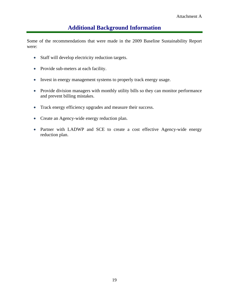Some of the recommendations that were made in the 2009 Baseline Sustainability Report were:

- Staff will develop electricity reduction targets.
- Provide sub-meters at each facility.
- Invest in energy management systems to properly track energy usage.
- Provide division managers with monthly utility bills so they can monitor performance and prevent billing mistakes.
- Track energy efficiency upgrades and measure their success.
- Create an Agency-wide energy reduction plan.
- Partner with LADWP and SCE to create a cost effective Agency-wide energy reduction plan.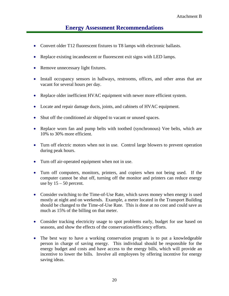## **Energy Assessment Recommendations**

- Convert older T12 fluorescent fixtures to T8 lamps with electronic ballasts.
- Replace existing incandescent or fluorescent exit signs with LED lamps.
- Remove unnecessary light fixtures.
- Install occupancy sensors in hallways, restrooms, offices, and other areas that are vacant for several hours per day.
- Replace older inefficient HVAC equipment with newer more efficient system.
- Locate and repair damage ducts, joints, and cabinets of HVAC equipment.
- Shut off the conditioned air shipped to vacant or unused spaces.
- Replace worn fan and pump belts with toothed (synchronous) Vee belts, which are 10% to 30% more efficient.
- Turn off electric motors when not in use. Control large blowers to prevent operation during peak hours.
- Turn off air-operated equipment when not in use.
- Turn off computers, monitors, printers, and copiers when not being used. If the computer cannot be shut off, turning off the monitor and printers can reduce energy use by  $15 - 50$  percent.
- Consider switching to the Time-of-Use Rate, which saves money when energy is used mostly at night and on weekends. Example, a meter located in the Transport Building should be changed to the Time-of-Use Rate. This is done at no cost and could save as much as 15% of the billing on that meter.
- Consider tracking electricity usage to spot problems early, budget for use based on seasons, and show the effects of the conservation/efficiency efforts.
- The best way to have a working conservation program is to put a knowledgeable person in charge of saving energy. This individual should be responsible for the energy budget and costs and have access to the energy bills, which will provide an incentive to lower the bills. Involve all employees by offering incentive for energy saving ideas.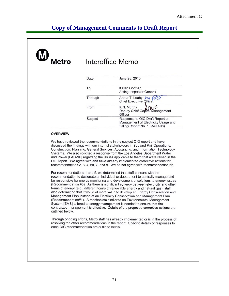## **Copy of Management Comments to Draft Report**

| Metro | Interoffice Memo |                                                                                                         |  |
|-------|------------------|---------------------------------------------------------------------------------------------------------|--|
|       | Date             | June 25, 2010                                                                                           |  |
|       | To               | Karen Gorman<br><b>Acting Inspector General</b>                                                         |  |
|       | Through          | Arthur T. Leahy by Chief Executive Officer                                                              |  |
|       | From             | K.N. Murthy<br>Deputy Chief Capital Management<br>Officer                                               |  |
|       | Subject          | Response to OIG Draft Report on<br>Management of Electricity Usage and<br>Billing(Report No. 10-AUD-08) |  |

#### **OVERVIEW**

We have reviewed the recommendations in the subject OIG report and have discussed the findings with our internal stakeholders in Bus and Rail Operations, Construction, Planning, General Services, Accounting, and Information Technology Systems. We also solicited a response from the Los Angeles Department Water and Power [LADWP] regarding the issues applicable to them that were raised in the OIG report. We agree with and have already implemented corrective actions for recommendations 2, 3, 4, 6a, 7, and 8. We do not agree with recommendation 6b.

For recommendations 1 and 5, we determined that staff concurs with the recommendation to designate an individual or department to centrally manage and be responsible for energy monitoring and development of solutions to energy issues (Recommendation #5). As there is significant synergy between electricity and other forms of energy (e.g., different forms of renewable energy and natural gas), staff also determined that it would of more value to develop an Energy Conservation and Management Plan instead of an Electricity Conservation and Management Plan (Recommendation#1). A mechanism similar to an Environmental Management System [EMS] tailored to energy management is needed to ensure that the centralized management is effective. Details of the proposed corrective actions are outlined below.

Through ongoing efforts, Metro staff has already implemented or is in the process of resolving the other recommendations in the report. Specific details of responses to each OIG recommendation are outlined below.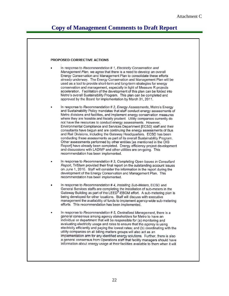## **Copy of Management Comments to Draft Report**

#### PROPOSED CORRECTIVE ACTIONS In response to Recommendation # 1, Electricity Conservation and Management Plan, we agree that there is a need to develop an overall Energy Conservation and Management Plan to consolidate these efforts already underway. The Energy Conservation and Management Plan will be used as a tool to provide short-term and long-term strategies for energy conservation and management, especially in light of Measure R projects acceleration. Facilitation of the development of this plan can be folded into Metro's overall Sustainability Program. This plan can be completed and approved by the Board for implementation by March 31, 2011. In response to Recommendation # 2, Energy Assessments, Metro's Energy and Sustainability Policy mandates that staff conduct energy assessments of Metro divisions and facilities, and implement energy conservation measures where they are feasible and fiscally prudent. Utility companies currently do not have the resources to conduct energy assessments. However, Environmental Compliance and Services Department [ECSD] staff and their consultants have begun and are continuing the energy assessments of Bus and Rail Divisions, including the Gateway Headquarters. ECSD has been conducting these assessments as part of its overall Sustainability Program. Other assessments performed by other entities [as mentioned in the OIG Report] have already been completed. Energy efficiency project development and discussions with LADWP and other utilities are on-going. This recommendation has been implemented. In response to Recommendation #3, Completing Open Issues in Consultant Report, TriStem provided their final report on the outstanding account issues on June 1, 2010. Staff will consider the information in the report during the development of the Energy Conservation and Management Plan. This recommendation has been implemented. In response to Recommendation #4, Installing Sub-Meters, ECSD and General Services staffs are completing the installation of sub-meters in the Gateway Building as part of the LEED®-EBOM effort. A sub-metering plan is being developed for other locations. Staff will discuss with executive management the availability of funds to implement agency-wide sub-metering efforts. This recommendation has been implemented. In response to Recommendation #5, Centralized Management, there is a general consensus among agency stakeholders for Metro to have an individual or department that will be responsible for (a) monitoring and evaluating electricity usage and rates to ensure that the agency is using electricity efficiently and paying the lowest rates; and (b) coordinating with the utility companies on all billing matters groups will also act as an implementation arm for any identified energy solutions. Further, there is also a general consensus from Operations staff that facility managers should have information about energy usage at their facilities available to them when it will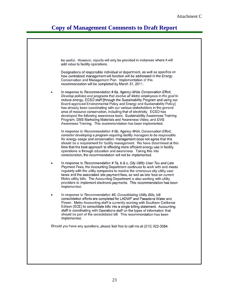## **Copy of Management Comments to Draft Report**